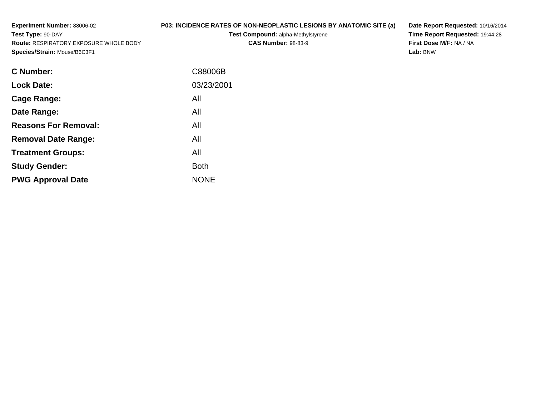**Experiment Number:** 88006-02**Test Type:** 90-DAY **Route:** RESPIRATORY EXPOSURE WHOLE BODY**Species/Strain:** Mouse/B6C3F1**P03: INCIDENCE RATES OF NON-NEOPLASTIC LESIONS BY ANATOMIC SITE (a)Test Compound:** alpha-Methylstyrene**CAS Number:** 98-83-9**Lab:** BNW

NONE

| <b>C</b> Number:            | C88006B    |
|-----------------------------|------------|
| <b>Lock Date:</b>           | 03/23/2001 |
| Cage Range:                 | All        |
| Date Range:                 | All        |
| <b>Reasons For Removal:</b> | All        |
| <b>Removal Date Range:</b>  | All        |
| <b>Treatment Groups:</b>    | All        |
| <b>Study Gender:</b>        | Both       |

**Example 1** South 2 and 2 and 2 and 2 and 2 and 2 and 2 and 2 and 2 and 2 and 2 and 2 and 2 and 2 and 2 and 2 an

**PWG Approval Date**

**Date Report Requested:** 10/16/2014**Time Report Requested:** 19:44:28**First Dose M/F:** NA / NA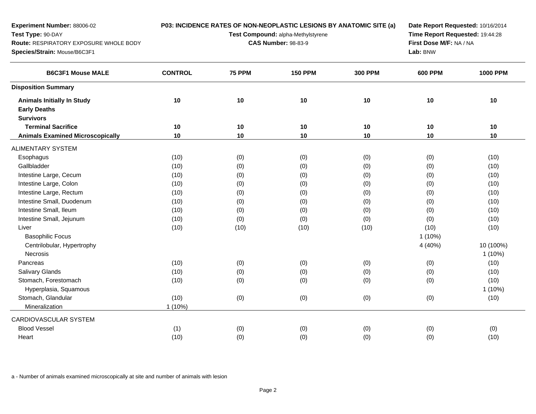| <b>Experiment Number: 88006-02</b><br>Test Type: 90-DAY<br>Route: RESPIRATORY EXPOSURE WHOLE BODY<br>Species/Strain: Mouse/B6C3F1 |                |               | P03: INCIDENCE RATES OF NON-NEOPLASTIC LESIONS BY ANATOMIC SITE (a)<br>Test Compound: alpha-Methylstyrene<br><b>CAS Number: 98-83-9</b> |                | Date Report Requested: 10/16/2014<br>Time Report Requested: 19:44:28<br>First Dose M/F: NA / NA<br>Lab: BNW |                        |
|-----------------------------------------------------------------------------------------------------------------------------------|----------------|---------------|-----------------------------------------------------------------------------------------------------------------------------------------|----------------|-------------------------------------------------------------------------------------------------------------|------------------------|
| <b>B6C3F1 Mouse MALE</b>                                                                                                          | <b>CONTROL</b> | <b>75 PPM</b> | <b>150 PPM</b>                                                                                                                          | <b>300 PPM</b> | <b>600 PPM</b>                                                                                              | <b>1000 PPM</b>        |
| <b>Disposition Summary</b>                                                                                                        |                |               |                                                                                                                                         |                |                                                                                                             |                        |
| <b>Animals Initially In Study</b><br><b>Early Deaths</b><br><b>Survivors</b>                                                      | 10             | 10            | 10                                                                                                                                      | 10             | 10                                                                                                          | $10$                   |
| <b>Terminal Sacrifice</b>                                                                                                         | 10             | 10            | 10                                                                                                                                      | 10             | 10                                                                                                          | 10                     |
| <b>Animals Examined Microscopically</b>                                                                                           | 10             | $10$          | $10$                                                                                                                                    | 10             | $10$                                                                                                        | 10                     |
| <b>ALIMENTARY SYSTEM</b>                                                                                                          |                |               |                                                                                                                                         |                |                                                                                                             |                        |
| Esophagus                                                                                                                         | (10)           | (0)           | (0)                                                                                                                                     | (0)            | (0)                                                                                                         | (10)                   |
| Gallbladder                                                                                                                       | (10)           | (0)           | (0)                                                                                                                                     | (0)            | (0)                                                                                                         | (10)                   |
| Intestine Large, Cecum                                                                                                            | (10)           | (0)           | (0)                                                                                                                                     | (0)            | (0)                                                                                                         | (10)                   |
| Intestine Large, Colon                                                                                                            | (10)           | (0)           | (0)                                                                                                                                     | (0)            | (0)                                                                                                         | (10)                   |
| Intestine Large, Rectum                                                                                                           | (10)           | (0)           | (0)                                                                                                                                     | (0)            | (0)                                                                                                         | (10)                   |
| Intestine Small, Duodenum                                                                                                         | (10)           | (0)           | (0)                                                                                                                                     | (0)            | (0)                                                                                                         | (10)                   |
| Intestine Small, Ileum                                                                                                            | (10)           | (0)           | (0)                                                                                                                                     | (0)            | (0)                                                                                                         | (10)                   |
| Intestine Small, Jejunum                                                                                                          | (10)           | (0)           | (0)                                                                                                                                     | (0)            | (0)                                                                                                         | (10)                   |
| Liver                                                                                                                             | (10)           | (10)          | (10)                                                                                                                                    | (10)           | (10)                                                                                                        | (10)                   |
| <b>Basophilic Focus</b>                                                                                                           |                |               |                                                                                                                                         |                | $1(10\%)$                                                                                                   |                        |
| Centrilobular, Hypertrophy<br>Necrosis                                                                                            |                |               |                                                                                                                                         |                | 4 (40%)                                                                                                     | 10 (100%)<br>$1(10\%)$ |
| Pancreas                                                                                                                          | (10)           | (0)           | (0)                                                                                                                                     | (0)            | (0)                                                                                                         | (10)                   |
| Salivary Glands                                                                                                                   | (10)           | (0)           | (0)                                                                                                                                     | (0)            | (0)                                                                                                         | (10)                   |
| Stomach, Forestomach                                                                                                              | (10)           | (0)           | (0)                                                                                                                                     | (0)            | (0)                                                                                                         | (10)                   |
| Hyperplasia, Squamous                                                                                                             |                |               |                                                                                                                                         |                |                                                                                                             | 1 (10%)                |
| Stomach, Glandular                                                                                                                | (10)           | (0)           | (0)                                                                                                                                     | (0)            | (0)                                                                                                         | (10)                   |
| Mineralization                                                                                                                    | $1(10\%)$      |               |                                                                                                                                         |                |                                                                                                             |                        |
| CARDIOVASCULAR SYSTEM                                                                                                             |                |               |                                                                                                                                         |                |                                                                                                             |                        |
| <b>Blood Vessel</b>                                                                                                               | (1)            | (0)           | (0)                                                                                                                                     | (0)            | (0)                                                                                                         | (0)                    |
| Heart                                                                                                                             | (10)           | (0)           | (0)                                                                                                                                     | (0)            | (0)                                                                                                         | (10)                   |
|                                                                                                                                   |                |               |                                                                                                                                         |                |                                                                                                             |                        |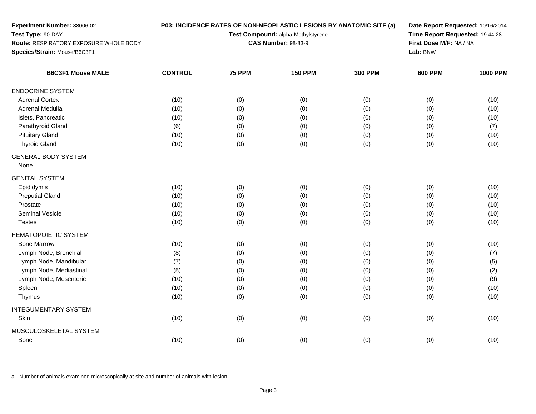| Experiment Number: 88006-02<br>Test Type: 90-DAY<br>Route: RESPIRATORY EXPOSURE WHOLE BODY |                |               | P03: INCIDENCE RATES OF NON-NEOPLASTIC LESIONS BY ANATOMIC SITE (a)<br>Test Compound: alpha-Methylstyrene<br><b>CAS Number: 98-83-9</b> | Date Report Requested: 10/16/2014<br>Time Report Requested: 19:44:28<br>First Dose M/F: NA / NA |                |                 |
|--------------------------------------------------------------------------------------------|----------------|---------------|-----------------------------------------------------------------------------------------------------------------------------------------|-------------------------------------------------------------------------------------------------|----------------|-----------------|
| Species/Strain: Mouse/B6C3F1                                                               |                |               |                                                                                                                                         |                                                                                                 | Lab: BNW       |                 |
| <b>B6C3F1 Mouse MALE</b>                                                                   | <b>CONTROL</b> | <b>75 PPM</b> | <b>150 PPM</b>                                                                                                                          | <b>300 PPM</b>                                                                                  | <b>600 PPM</b> | <b>1000 PPM</b> |
| <b>ENDOCRINE SYSTEM</b>                                                                    |                |               |                                                                                                                                         |                                                                                                 |                |                 |
| <b>Adrenal Cortex</b>                                                                      | (10)           | (0)           | (0)                                                                                                                                     | (0)                                                                                             | (0)            | (10)            |
| Adrenal Medulla                                                                            | (10)           | (0)           | (0)                                                                                                                                     | (0)                                                                                             | (0)            | (10)            |
| Islets, Pancreatic                                                                         | (10)           | (0)           | (0)                                                                                                                                     | (0)                                                                                             | (0)            | (10)            |
| Parathyroid Gland                                                                          | (6)            | (0)           | (0)                                                                                                                                     | (0)                                                                                             | (0)            | (7)             |
| <b>Pituitary Gland</b>                                                                     | (10)           | (0)           | (0)                                                                                                                                     | (0)                                                                                             | (0)            | (10)            |
| <b>Thyroid Gland</b>                                                                       | (10)           | (0)           | (0)                                                                                                                                     | (0)                                                                                             | (0)            | (10)            |
| <b>GENERAL BODY SYSTEM</b><br>None                                                         |                |               |                                                                                                                                         |                                                                                                 |                |                 |
| <b>GENITAL SYSTEM</b>                                                                      |                |               |                                                                                                                                         |                                                                                                 |                |                 |
| Epididymis                                                                                 | (10)           | (0)           | (0)                                                                                                                                     | (0)                                                                                             | (0)            | (10)            |
| <b>Preputial Gland</b>                                                                     | (10)           | (0)           | (0)                                                                                                                                     | (0)                                                                                             | (0)            | (10)            |
| Prostate                                                                                   | (10)           | (0)           | (0)                                                                                                                                     | (0)                                                                                             | (0)            | (10)            |
| Seminal Vesicle                                                                            | (10)           | (0)           | (0)                                                                                                                                     | (0)                                                                                             | (0)            | (10)            |
| <b>Testes</b>                                                                              | (10)           | (0)           | (0)                                                                                                                                     | (0)                                                                                             | (0)            | (10)            |
| <b>HEMATOPOIETIC SYSTEM</b>                                                                |                |               |                                                                                                                                         |                                                                                                 |                |                 |
| <b>Bone Marrow</b>                                                                         | (10)           | (0)           | (0)                                                                                                                                     | (0)                                                                                             | (0)            | (10)            |
| Lymph Node, Bronchial                                                                      | (8)            | (0)           | (0)                                                                                                                                     | (0)                                                                                             | (0)            | (7)             |
| Lymph Node, Mandibular                                                                     | (7)            | (0)           | (0)                                                                                                                                     | (0)                                                                                             | (0)            | (5)             |
| Lymph Node, Mediastinal                                                                    | (5)            | (0)           | (0)                                                                                                                                     | (0)                                                                                             | (0)            | (2)             |
| Lymph Node, Mesenteric                                                                     | (10)           | (0)           | (0)                                                                                                                                     | (0)                                                                                             | (0)            | (9)             |
| Spleen                                                                                     | (10)           | (0)           | (0)                                                                                                                                     | (0)                                                                                             | (0)            | (10)            |
| Thymus                                                                                     | (10)           | (0)           | (0)                                                                                                                                     | (0)                                                                                             | (0)            | (10)            |
| <b>INTEGUMENTARY SYSTEM</b>                                                                |                |               |                                                                                                                                         |                                                                                                 |                |                 |
| Skin                                                                                       | (10)           | (0)           | (0)                                                                                                                                     | (0)                                                                                             | (0)            | (10)            |
| MUSCULOSKELETAL SYSTEM                                                                     |                |               |                                                                                                                                         |                                                                                                 |                |                 |
| Bone                                                                                       | (10)           | (0)           | (0)                                                                                                                                     | (0)                                                                                             | (0)            | (10)            |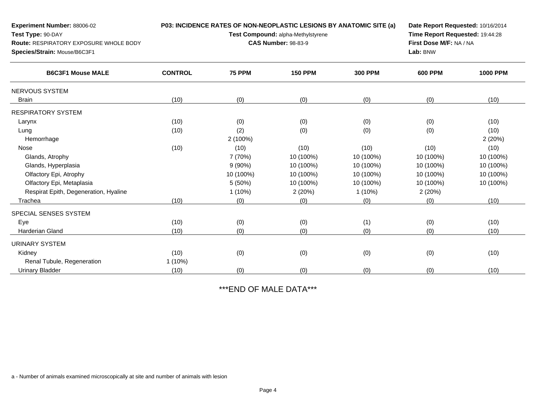| Experiment Number: 88006-02                   |                |                                    | P03: INCIDENCE RATES OF NON-NEOPLASTIC LESIONS BY ANATOMIC SITE (a) |                | Date Report Requested: 10/16/2014 |                 |  |
|-----------------------------------------------|----------------|------------------------------------|---------------------------------------------------------------------|----------------|-----------------------------------|-----------------|--|
| Test Type: 90-DAY                             |                | Test Compound: alpha-Methylstyrene | Time Report Requested: 19:44:28                                     |                |                                   |                 |  |
| <b>Route: RESPIRATORY EXPOSURE WHOLE BODY</b> |                |                                    | <b>CAS Number: 98-83-9</b>                                          |                | First Dose M/F: NA / NA           |                 |  |
| Species/Strain: Mouse/B6C3F1                  |                |                                    | Lab: BNW                                                            |                |                                   |                 |  |
| <b>B6C3F1 Mouse MALE</b>                      | <b>CONTROL</b> | <b>75 PPM</b>                      | <b>150 PPM</b>                                                      | <b>300 PPM</b> | <b>600 PPM</b>                    | <b>1000 PPM</b> |  |
| <b>NERVOUS SYSTEM</b>                         |                |                                    |                                                                     |                |                                   |                 |  |
| <b>Brain</b>                                  | (10)           | (0)                                | (0)                                                                 | (0)            | (0)                               | (10)            |  |
| <b>RESPIRATORY SYSTEM</b>                     |                |                                    |                                                                     |                |                                   |                 |  |
| Larynx                                        | (10)           | (0)                                | (0)                                                                 | (0)            | (0)                               | (10)            |  |
| Lung                                          | (10)           | (2)                                | (0)                                                                 | (0)            | (0)                               | (10)            |  |
| Hemorrhage                                    |                | 2 (100%)                           |                                                                     |                |                                   | 2(20%)          |  |
| <b>Nose</b>                                   | (10)           | (10)                               | (10)                                                                | (10)           | (10)                              | (10)            |  |
| Glands, Atrophy                               |                | 7 (70%)                            | 10 (100%)                                                           | 10 (100%)      | 10 (100%)                         | 10 (100%)       |  |
| Glands, Hyperplasia                           |                | $9(90\%)$                          | 10 (100%)                                                           | 10 (100%)      | 10 (100%)                         | 10 (100%)       |  |
| Olfactory Epi, Atrophy                        |                | 10 (100%)                          | 10 (100%)                                                           | 10 (100%)      | 10 (100%)                         | 10 (100%)       |  |
| Olfactory Epi, Metaplasia                     |                | 5 (50%)                            | 10 (100%)                                                           | 10 (100%)      | 10 (100%)                         | 10 (100%)       |  |
| Respirat Epith, Degeneration, Hyaline         |                | $1(10\%)$                          | 2(20%)                                                              | $1(10\%)$      | 2(20%)                            |                 |  |
| Trachea                                       | (10)           | (0)                                | (0)                                                                 | (0)            | (0)                               | (10)            |  |
| SPECIAL SENSES SYSTEM                         |                |                                    |                                                                     |                |                                   |                 |  |
| Eye                                           | (10)           | (0)                                | (0)                                                                 | (1)            | (0)                               | (10)            |  |
| <b>Harderian Gland</b>                        | (10)           | (0)                                | (0)                                                                 | (0)            | (0)                               | (10)            |  |
| <b>URINARY SYSTEM</b>                         |                |                                    |                                                                     |                |                                   |                 |  |
| Kidney                                        | (10)           | (0)                                | (0)                                                                 | (0)            | (0)                               | (10)            |  |
| Renal Tubule, Regeneration                    | 1(10%)         |                                    |                                                                     |                |                                   |                 |  |
| <b>Urinary Bladder</b>                        | (10)           | (0)                                | (0)                                                                 | (0)            | (0)                               | (10)            |  |

\*\*\*END OF MALE DATA\*\*\*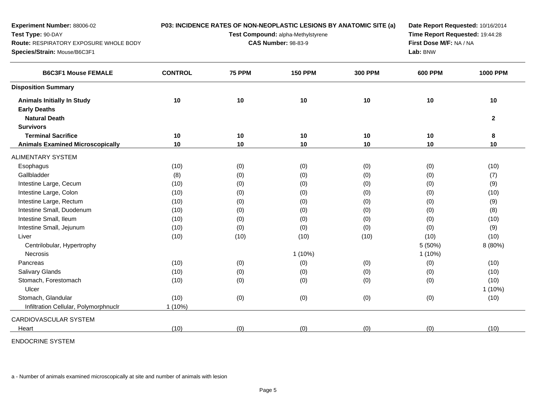| Experiment Number: 88006-02                   | P03: INCIDENCE RATES OF NON-NEOPLASTIC LESIONS BY ANATOMIC SITE (a) |               |                                    | Date Report Requested: 10/16/2014 |                                 |                 |
|-----------------------------------------------|---------------------------------------------------------------------|---------------|------------------------------------|-----------------------------------|---------------------------------|-----------------|
| Test Type: 90-DAY                             |                                                                     |               | Test Compound: alpha-Methylstyrene |                                   | Time Report Requested: 19:44:28 |                 |
| <b>Route: RESPIRATORY EXPOSURE WHOLE BODY</b> |                                                                     |               | <b>CAS Number: 98-83-9</b>         |                                   | First Dose M/F: NA / NA         |                 |
| Species/Strain: Mouse/B6C3F1                  |                                                                     |               |                                    |                                   | Lab: BNW                        |                 |
| <b>B6C3F1 Mouse FEMALE</b>                    | <b>CONTROL</b>                                                      | <b>75 PPM</b> | <b>150 PPM</b>                     | <b>300 PPM</b>                    | <b>600 PPM</b>                  | <b>1000 PPM</b> |
| <b>Disposition Summary</b>                    |                                                                     |               |                                    |                                   |                                 |                 |
| <b>Animals Initially In Study</b>             | 10                                                                  | 10            | 10                                 | 10                                | 10                              | 10              |
| <b>Early Deaths</b>                           |                                                                     |               |                                    |                                   |                                 |                 |
| <b>Natural Death</b>                          |                                                                     |               |                                    |                                   |                                 | $\mathbf{2}$    |
| <b>Survivors</b>                              |                                                                     |               |                                    |                                   |                                 |                 |
| <b>Terminal Sacrifice</b>                     | 10                                                                  | 10            | 10                                 | 10                                | 10                              | 8               |
| <b>Animals Examined Microscopically</b>       | 10                                                                  | 10            | 10                                 | 10                                | 10                              | 10              |
| <b>ALIMENTARY SYSTEM</b>                      |                                                                     |               |                                    |                                   |                                 |                 |
| Esophagus                                     | (10)                                                                | (0)           | (0)                                | (0)                               | (0)                             | (10)            |
| Gallbladder                                   | (8)                                                                 | (0)           | (0)                                | (0)                               | (0)                             | (7)             |
| Intestine Large, Cecum                        | (10)                                                                | (0)           | (0)                                | (0)                               | (0)                             | (9)             |
| Intestine Large, Colon                        | (10)                                                                | (0)           | (0)                                | (0)                               | (0)                             | (10)            |
| Intestine Large, Rectum                       | (10)                                                                | (0)           | (0)                                | (0)                               | (0)                             | (9)             |
| Intestine Small, Duodenum                     | (10)                                                                | (0)           | (0)                                | (0)                               | (0)                             | (8)             |
| Intestine Small, Ileum                        | (10)                                                                | (0)           | (0)                                | (0)                               | (0)                             | (10)            |
| Intestine Small, Jejunum                      | (10)                                                                | (0)           | (0)                                | (0)                               | (0)                             | (9)             |
| Liver                                         | (10)                                                                | (10)          | (10)                               | (10)                              | (10)                            | (10)            |
| Centrilobular, Hypertrophy                    |                                                                     |               |                                    |                                   | 5(50%)                          | 8 (80%)         |
| <b>Necrosis</b>                               |                                                                     |               | $1(10\%)$                          |                                   | $1(10\%)$                       |                 |
| Pancreas                                      | (10)                                                                | (0)           | (0)                                | (0)                               | (0)                             | (10)            |
| <b>Salivary Glands</b>                        | (10)                                                                | (0)           | (0)                                | (0)                               | (0)                             | (10)            |
| Stomach, Forestomach                          | (10)                                                                | (0)           | (0)                                | (0)                               | (0)                             | (10)            |
| Ulcer                                         |                                                                     |               |                                    |                                   |                                 | $1(10\%)$       |
| Stomach, Glandular                            | (10)                                                                | (0)           | (0)                                | (0)                               | (0)                             | (10)            |
| Infiltration Cellular, Polymorphnuclr         | $1(10\%)$                                                           |               |                                    |                                   |                                 |                 |
| CARDIOVASCULAR SYSTEM                         |                                                                     |               |                                    |                                   |                                 |                 |
| Heart                                         | (10)                                                                | (0)           | (0)                                | (0)                               | (0)                             | (10)            |
|                                               |                                                                     |               |                                    |                                   |                                 |                 |

ENDOCRINE SYSTEM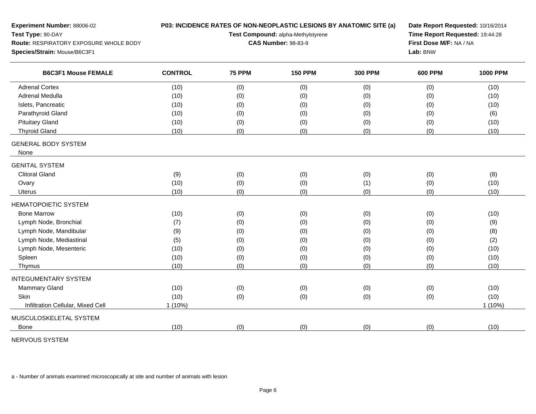| Experiment Number: 88006-02                   |                | P03: INCIDENCE RATES OF NON-NEOPLASTIC LESIONS BY ANATOMIC SITE (a) | Date Report Requested: 10/16/2014<br>Time Report Requested: 19:44:28 |                |                |                 |
|-----------------------------------------------|----------------|---------------------------------------------------------------------|----------------------------------------------------------------------|----------------|----------------|-----------------|
| Test Type: 90-DAY                             |                | Test Compound: alpha-Methylstyrene                                  |                                                                      |                |                |                 |
| <b>Route: RESPIRATORY EXPOSURE WHOLE BODY</b> |                | <b>CAS Number: 98-83-9</b>                                          | First Dose M/F: NA / NA                                              |                |                |                 |
| Species/Strain: Mouse/B6C3F1                  |                |                                                                     | Lab: BNW                                                             |                |                |                 |
| <b>B6C3F1 Mouse FEMALE</b>                    | <b>CONTROL</b> | <b>75 PPM</b>                                                       | <b>150 PPM</b>                                                       | <b>300 PPM</b> | <b>600 PPM</b> | <b>1000 PPM</b> |
| <b>Adrenal Cortex</b>                         | (10)           | (0)                                                                 | (0)                                                                  | (0)            | (0)            | (10)            |
| <b>Adrenal Medulla</b>                        | (10)           | (0)                                                                 | (0)                                                                  | (0)            | (0)            | (10)            |
| Islets, Pancreatic                            | (10)           | (0)                                                                 | (0)                                                                  | (0)            | (0)            | (10)            |
| Parathyroid Gland                             | (10)           | (0)                                                                 | (0)                                                                  | (0)            | (0)            | (6)             |
| <b>Pituitary Gland</b>                        | (10)           | (0)                                                                 | (0)                                                                  | (0)            | (0)            | (10)            |
| <b>Thyroid Gland</b>                          | (10)           | (0)                                                                 | (0)                                                                  | (0)            | (0)            | (10)            |
| <b>GENERAL BODY SYSTEM</b><br>None            |                |                                                                     |                                                                      |                |                |                 |
| <b>GENITAL SYSTEM</b>                         |                |                                                                     |                                                                      |                |                |                 |
| <b>Clitoral Gland</b>                         | (9)            | (0)                                                                 | (0)                                                                  | (0)            | (0)            | (8)             |
| Ovary                                         | (10)           | (0)                                                                 | (0)                                                                  | (1)            | (0)            | (10)            |
| <b>Uterus</b>                                 | (10)           | (0)                                                                 | (0)                                                                  | (0)            | (0)            | (10)            |
| <b>HEMATOPOIETIC SYSTEM</b>                   |                |                                                                     |                                                                      |                |                |                 |
| <b>Bone Marrow</b>                            | (10)           | (0)                                                                 | (0)                                                                  | (0)            | (0)            | (10)            |
| Lymph Node, Bronchial                         | (7)            | (0)                                                                 | (0)                                                                  | (0)            | (0)            | (9)             |
| Lymph Node, Mandibular                        | (9)            | (0)                                                                 | (0)                                                                  | (0)            | (0)            | (8)             |
| Lymph Node, Mediastinal                       | (5)            | (0)                                                                 | (0)                                                                  | (0)            | (0)            | (2)             |
| Lymph Node, Mesenteric                        | (10)           | (0)                                                                 | (0)                                                                  | (0)            | (0)            | (10)            |
| Spleen                                        | (10)           | (0)                                                                 | (0)                                                                  | (0)            | (0)            | (10)            |
| Thymus                                        | (10)           | (0)                                                                 | (0)                                                                  | (0)            | (0)            | (10)            |
| <b>INTEGUMENTARY SYSTEM</b>                   |                |                                                                     |                                                                      |                |                |                 |
| Mammary Gland                                 | (10)           | (0)                                                                 | (0)                                                                  | (0)            | (0)            | (10)            |
| Skin                                          | (10)           | (0)                                                                 | (0)                                                                  | (0)            | (0)            | (10)            |
| Infiltration Cellular, Mixed Cell             | $1(10\%)$      |                                                                     |                                                                      |                |                | 1 (10%)         |
| MUSCULOSKELETAL SYSTEM                        |                |                                                                     |                                                                      |                |                |                 |
| <b>Bone</b>                                   | (10)           | (0)                                                                 | (0)                                                                  | (0)            | (0)            | (10)            |
|                                               |                |                                                                     |                                                                      |                |                |                 |

NERVOUS SYSTEM